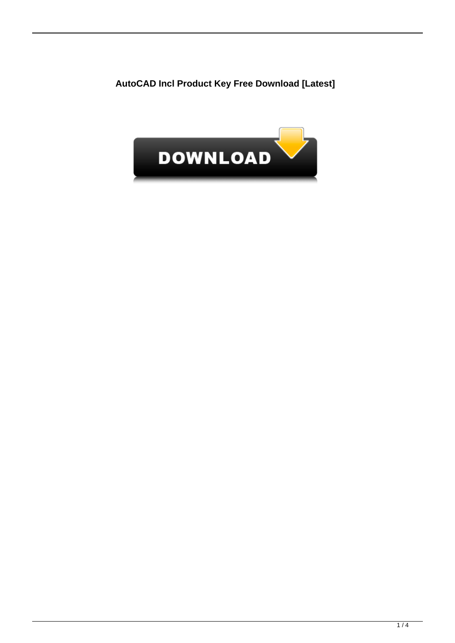**AutoCAD Incl Product Key Free Download [Latest]**

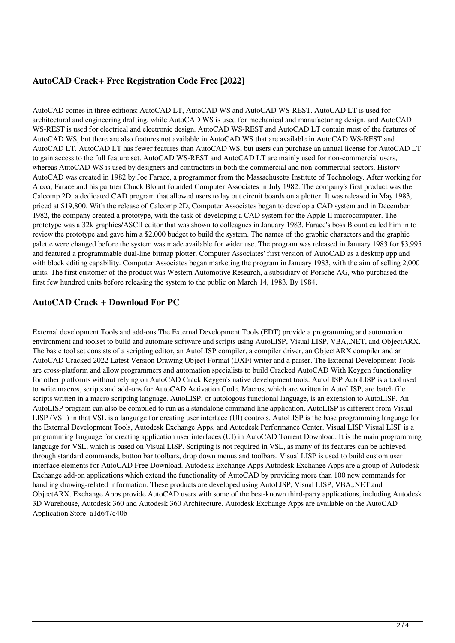## **AutoCAD Crack+ Free Registration Code Free [2022]**

AutoCAD comes in three editions: AutoCAD LT, AutoCAD WS and AutoCAD WS-REST. AutoCAD LT is used for architectural and engineering drafting, while AutoCAD WS is used for mechanical and manufacturing design, and AutoCAD WS-REST is used for electrical and electronic design. AutoCAD WS-REST and AutoCAD LT contain most of the features of AutoCAD WS, but there are also features not available in AutoCAD WS that are available in AutoCAD WS-REST and AutoCAD LT. AutoCAD LT has fewer features than AutoCAD WS, but users can purchase an annual license for AutoCAD LT to gain access to the full feature set. AutoCAD WS-REST and AutoCAD LT are mainly used for non-commercial users, whereas AutoCAD WS is used by designers and contractors in both the commercial and non-commercial sectors. History AutoCAD was created in 1982 by Joe Farace, a programmer from the Massachusetts Institute of Technology. After working for Alcoa, Farace and his partner Chuck Blount founded Computer Associates in July 1982. The company's first product was the Calcomp 2D, a dedicated CAD program that allowed users to lay out circuit boards on a plotter. It was released in May 1983, priced at \$19,800. With the release of Calcomp 2D, Computer Associates began to develop a CAD system and in December 1982, the company created a prototype, with the task of developing a CAD system for the Apple II microcomputer. The prototype was a 32k graphics/ASCII editor that was shown to colleagues in January 1983. Farace's boss Blount called him in to review the prototype and gave him a \$2,000 budget to build the system. The names of the graphic characters and the graphic palette were changed before the system was made available for wider use. The program was released in January 1983 for \$3,995 and featured a programmable dual-line bitmap plotter. Computer Associates' first version of AutoCAD as a desktop app and with block editing capability. Computer Associates began marketing the program in January 1983, with the aim of selling 2,000 units. The first customer of the product was Western Automotive Research, a subsidiary of Porsche AG, who purchased the first few hundred units before releasing the system to the public on March 14, 1983. By 1984,

### **AutoCAD Crack + Download For PC**

External development Tools and add-ons The External Development Tools (EDT) provide a programming and automation environment and toolset to build and automate software and scripts using AutoLISP, Visual LISP, VBA,.NET, and ObjectARX. The basic tool set consists of a scripting editor, an AutoLISP compiler, a compiler driver, an ObjectARX compiler and an AutoCAD Cracked 2022 Latest Version Drawing Object Format (DXF) writer and a parser. The External Development Tools are cross-platform and allow programmers and automation specialists to build Cracked AutoCAD With Keygen functionality for other platforms without relying on AutoCAD Crack Keygen's native development tools. AutoLISP AutoLISP is a tool used to write macros, scripts and add-ons for AutoCAD Activation Code. Macros, which are written in AutoLISP, are batch file scripts written in a macro scripting language. AutoLISP, or autologous functional language, is an extension to AutoLISP. An AutoLISP program can also be compiled to run as a standalone command line application. AutoLISP is different from Visual LISP (VSL) in that VSL is a language for creating user interface (UI) controls. AutoLISP is the base programming language for the External Development Tools, Autodesk Exchange Apps, and Autodesk Performance Center. Visual LISP Visual LISP is a programming language for creating application user interfaces (UI) in AutoCAD Torrent Download. It is the main programming language for VSL, which is based on Visual LISP. Scripting is not required in VSL, as many of its features can be achieved through standard commands, button bar toolbars, drop down menus and toolbars. Visual LISP is used to build custom user interface elements for AutoCAD Free Download. Autodesk Exchange Apps Autodesk Exchange Apps are a group of Autodesk Exchange add-on applications which extend the functionality of AutoCAD by providing more than 100 new commands for handling drawing-related information. These products are developed using AutoLISP, Visual LISP, VBA,.NET and ObjectARX. Exchange Apps provide AutoCAD users with some of the best-known third-party applications, including Autodesk 3D Warehouse, Autodesk 360 and Autodesk 360 Architecture. Autodesk Exchange Apps are available on the AutoCAD Application Store. a1d647c40b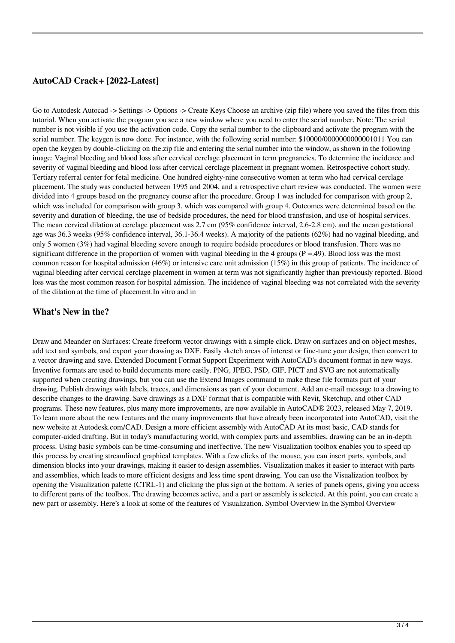#### **AutoCAD Crack+ [2022-Latest]**

Go to Autodesk Autocad -> Settings -> Options -> Create Keys Choose an archive (zip file) where you saved the files from this tutorial. When you activate the program you see a new window where you need to enter the serial number. Note: The serial number is not visible if you use the activation code. Copy the serial number to the clipboard and activate the program with the serial number. The keygen is now done. For instance, with the following serial number: \$10000/0000000000001011 You can open the keygen by double-clicking on the.zip file and entering the serial number into the window, as shown in the following image: Vaginal bleeding and blood loss after cervical cerclage placement in term pregnancies. To determine the incidence and severity of vaginal bleeding and blood loss after cervical cerclage placement in pregnant women. Retrospective cohort study. Tertiary referral center for fetal medicine. One hundred eighty-nine consecutive women at term who had cervical cerclage placement. The study was conducted between 1995 and 2004, and a retrospective chart review was conducted. The women were divided into 4 groups based on the pregnancy course after the procedure. Group 1 was included for comparison with group 2, which was included for comparison with group 3, which was compared with group 4. Outcomes were determined based on the severity and duration of bleeding, the use of bedside procedures, the need for blood transfusion, and use of hospital services. The mean cervical dilation at cerclage placement was 2.7 cm (95% confidence interval, 2.6-2.8 cm), and the mean gestational age was 36.3 weeks (95% confidence interval, 36.1-36.4 weeks). A majority of the patients (62%) had no vaginal bleeding, and only 5 women (3%) had vaginal bleeding severe enough to require bedside procedures or blood transfusion. There was no significant difference in the proportion of women with vaginal bleeding in the 4 groups  $(P = .49)$ . Blood loss was the most common reason for hospital admission (46%) or intensive care unit admission (15%) in this group of patients. The incidence of vaginal bleeding after cervical cerclage placement in women at term was not significantly higher than previously reported. Blood loss was the most common reason for hospital admission. The incidence of vaginal bleeding was not correlated with the severity of the dilation at the time of placement.In vitro and in

#### **What's New in the?**

Draw and Meander on Surfaces: Create freeform vector drawings with a simple click. Draw on surfaces and on object meshes, add text and symbols, and export your drawing as DXF. Easily sketch areas of interest or fine-tune your design, then convert to a vector drawing and save. Extended Document Format Support Experiment with AutoCAD's document format in new ways. Inventive formats are used to build documents more easily. PNG, JPEG, PSD, GIF, PICT and SVG are not automatically supported when creating drawings, but you can use the Extend Images command to make these file formats part of your drawing. Publish drawings with labels, traces, and dimensions as part of your document. Add an e-mail message to a drawing to describe changes to the drawing. Save drawings as a DXF format that is compatible with Revit, Sketchup, and other CAD programs. These new features, plus many more improvements, are now available in AutoCAD® 2023, released May 7, 2019. To learn more about the new features and the many improvements that have already been incorporated into AutoCAD, visit the new website at Autodesk.com/CAD. Design a more efficient assembly with AutoCAD At its most basic, CAD stands for computer-aided drafting. But in today's manufacturing world, with complex parts and assemblies, drawing can be an in-depth process. Using basic symbols can be time-consuming and ineffective. The new Visualization toolbox enables you to speed up this process by creating streamlined graphical templates. With a few clicks of the mouse, you can insert parts, symbols, and dimension blocks into your drawings, making it easier to design assemblies. Visualization makes it easier to interact with parts and assemblies, which leads to more efficient designs and less time spent drawing. You can use the Visualization toolbox by opening the Visualization palette (CTRL-1) and clicking the plus sign at the bottom. A series of panels opens, giving you access to different parts of the toolbox. The drawing becomes active, and a part or assembly is selected. At this point, you can create a new part or assembly. Here's a look at some of the features of Visualization. Symbol Overview In the Symbol Overview